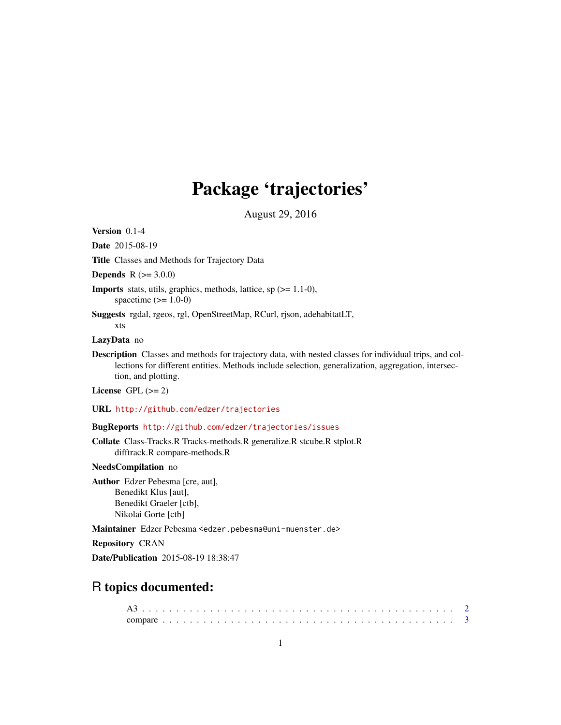## Package 'trajectories'

August 29, 2016

<span id="page-0-0"></span>Version 0.1-4

Date 2015-08-19

Title Classes and Methods for Trajectory Data

**Depends**  $R (= 3.0.0)$ 

- **Imports** stats, utils, graphics, methods, lattice, sp  $(>= 1.1-0)$ , spacetime  $(>= 1.0-0)$
- Suggests rgdal, rgeos, rgl, OpenStreetMap, RCurl, rjson, adehabitatLT, xts

LazyData no

Description Classes and methods for trajectory data, with nested classes for individual trips, and collections for different entities. Methods include selection, generalization, aggregation, intersection, and plotting.

License GPL  $(>= 2)$ 

URL <http://github.com/edzer/trajectories>

BugReports <http://github.com/edzer/trajectories/issues>

Collate Class-Tracks.R Tracks-methods.R generalize.R stcube.R stplot.R difftrack.R compare-methods.R

NeedsCompilation no

Author Edzer Pebesma [cre, aut], Benedikt Klus [aut], Benedikt Graeler [ctb], Nikolai Gorte [ctb]

Maintainer Edzer Pebesma <edzer.pebesma@uni-muenster.de>

Repository CRAN

Date/Publication 2015-08-19 18:38:47

### R topics documented: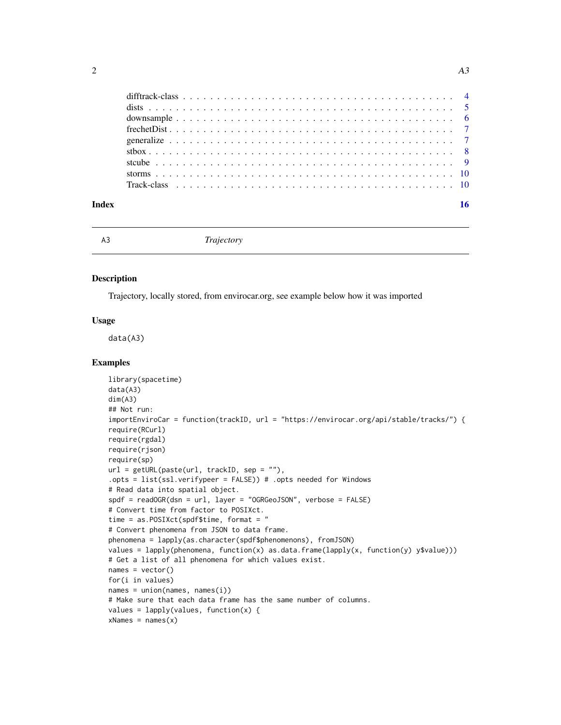|       | $stbox$ |  |  |  |  |  |  |  |  |  |  |  |  |  |  |  |  |  |  |  |  |
|-------|---------|--|--|--|--|--|--|--|--|--|--|--|--|--|--|--|--|--|--|--|--|
|       |         |  |  |  |  |  |  |  |  |  |  |  |  |  |  |  |  |  |  |  |  |
|       |         |  |  |  |  |  |  |  |  |  |  |  |  |  |  |  |  |  |  |  |  |
|       |         |  |  |  |  |  |  |  |  |  |  |  |  |  |  |  |  |  |  |  |  |
|       |         |  |  |  |  |  |  |  |  |  |  |  |  |  |  |  |  |  |  |  |  |
| Index |         |  |  |  |  |  |  |  |  |  |  |  |  |  |  |  |  |  |  |  |  |

#### A3 *Trajectory*

#### Description

Trajectory, locally stored, from envirocar.org, see example below how it was imported

#### Usage

data(A3)

#### Examples

```
library(spacetime)
data(A3)
dim(A3)
## Not run:
importEnviroCar = function(trackID, url = "https://envirocar.org/api/stable/tracks/") {
require(RCurl)
require(rgdal)
require(rjson)
require(sp)
url = getURL(paste(url, trackID, sep = ""),
.opts = list(ssl.verifypeer = FALSE)) # .opts needed for Windows
# Read data into spatial object.
spdf = readOGR(dsn = url, layer = "OGRGeoJSON", verbose = FALSE)
# Convert time from factor to POSIXct.
time = as.POSIXct(spdf$time, format = "
# Convert phenomena from JSON to data frame.
phenomena = lapply(as.character(spdf$phenomenons), fromJSON)
values = lapply(phenomena, function(x) as.data.frame(lapply(x, function(y) y$value)))
# Get a list of all phenomena for which values exist.
names = vector()
for(i in values)
names = union(name, names(i))# Make sure that each data frame has the same number of columns.
values = lapply(values, function(x) {
xNames = names(x)
```
<span id="page-1-0"></span>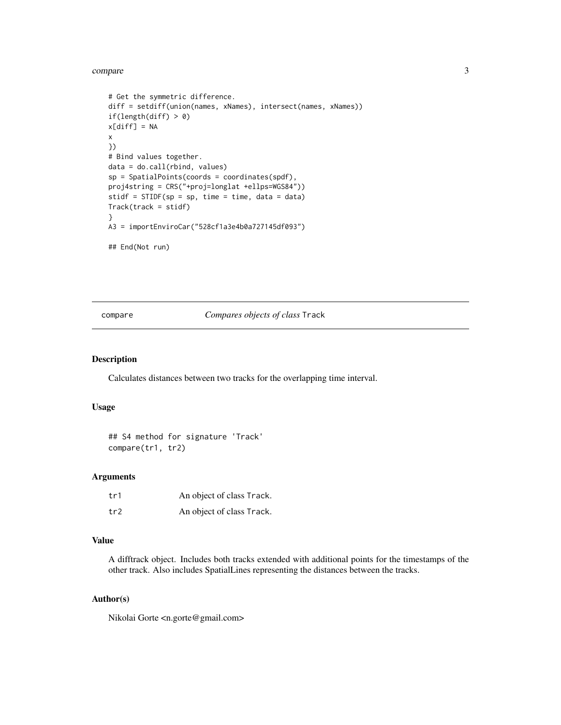#### <span id="page-2-0"></span>compare 3

```
# Get the symmetric difference.
diff = setdiff(union(names, xNames), intersect(names, xNames))
if(length(diff) > 0)
x[diff] = NAx
})
# Bind values together.
data = do.call(rbind, values)
sp = SpatialPoints(coords = coordinates(spdf),
proj4string = CRS("+proj=longlat +ellps=WGS84"))
stidf = STIDF(sp = sp, time = time, data = data)Track(track = stidf)
}
A3 = importEnviroCar("528cf1a3e4b0a727145df093")
## End(Not run)
```
compare *Compares objects of class* Track

#### Description

Calculates distances between two tracks for the overlapping time interval.

#### Usage

```
## S4 method for signature 'Track'
compare(tr1, tr2)
```
#### Arguments

| tr1 | An object of class Track. |
|-----|---------------------------|
| tr2 | An object of class Track. |

#### Value

A difftrack object. Includes both tracks extended with additional points for the timestamps of the other track. Also includes SpatialLines representing the distances between the tracks.

#### Author(s)

Nikolai Gorte <n.gorte@gmail.com>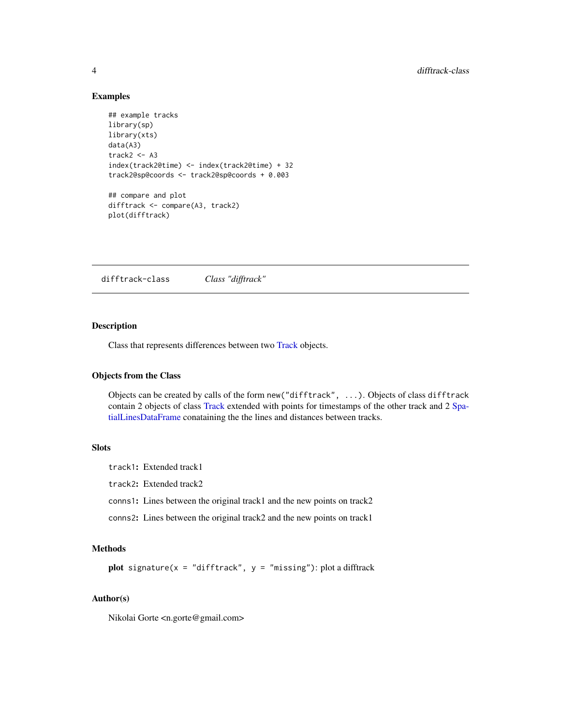#### Examples

```
## example tracks
library(sp)
library(xts)
data(A3)
track2 < - A3index(track2@time) <- index(track2@time) + 32
track2@sp@coords <- track2@sp@coords + 0.003
## compare and plot
difftrack <- compare(A3, track2)
plot(difftrack)
```
difftrack-class *Class "difftrack"*

#### Description

Class that represents differences between two [Track](#page-9-1) objects.

#### Objects from the Class

Objects can be created by calls of the form new("difftrack", ...). Objects of class difftrack contain 2 objects of class [Track](#page-9-1) extended with points for timestamps of the other track and 2 [Spa](#page-0-0)[tialLinesDataFrame](#page-0-0) conataining the the lines and distances between tracks.

#### Slots

```
track1: Extended track1
track2: Extended track2
conns1: Lines between the original track1 and the new points on track2
conns2: Lines between the original track2 and the new points on track1
```
### Methods

plot signature( $x = "difftrack", y = "missing");$  plot a difftrack

#### Author(s)

Nikolai Gorte <n.gorte@gmail.com>

<span id="page-3-0"></span>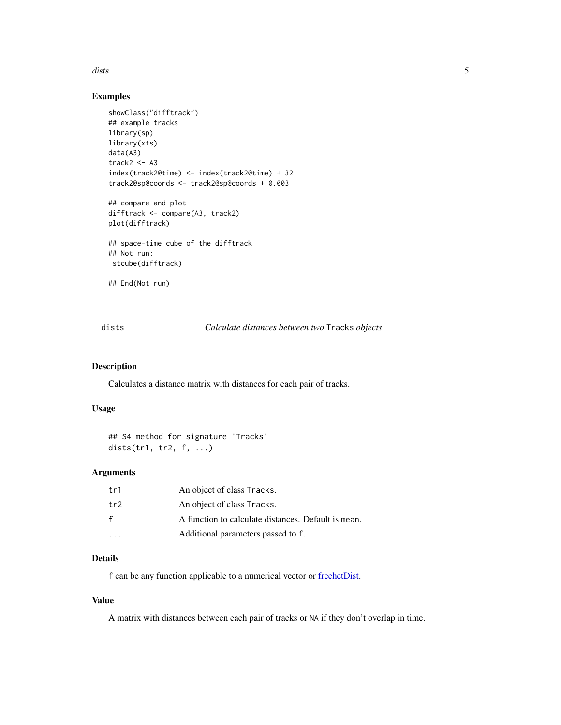<span id="page-4-0"></span>dists 5

#### Examples

```
showClass("difftrack")
## example tracks
library(sp)
library(xts)
data(A3)
track2 < - A3index(track2@time) <- index(track2@time) + 32
track2@sp@coords <- track2@sp@coords + 0.003
## compare and plot
difftrack <- compare(A3, track2)
plot(difftrack)
## space-time cube of the difftrack
## Not run:
 stcube(difftrack)
## End(Not run)
```
dists *Calculate distances between two* Tracks *objects*

#### Description

Calculates a distance matrix with distances for each pair of tracks.

#### Usage

```
## S4 method for signature 'Tracks'
dists(tr1, tr2, f, ...)
```
#### Arguments

| tr1 | An object of class Tracks.                          |
|-----|-----------------------------------------------------|
| tr2 | An object of class Tracks.                          |
| f   | A function to calculate distances. Default is mean. |
|     | Additional parameters passed to f.                  |

#### Details

f can be any function applicable to a numerical vector or [frechetDist.](#page-6-1)

#### Value

A matrix with distances between each pair of tracks or NA if they don't overlap in time.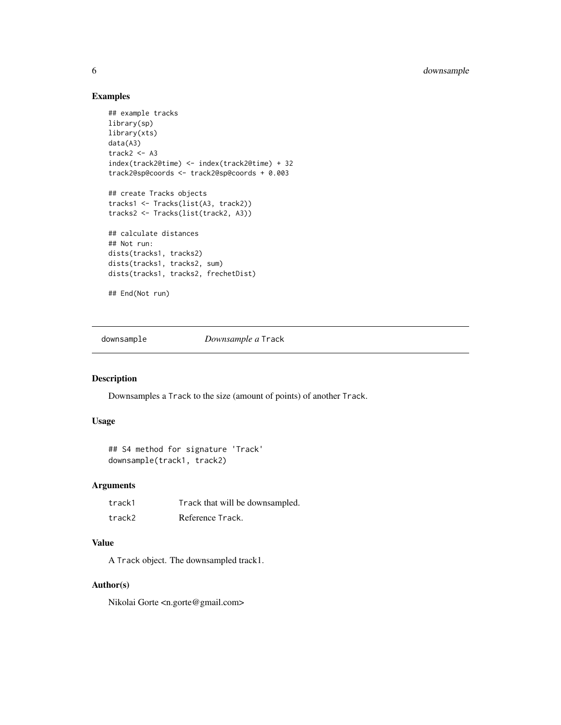#### Examples

```
## example tracks
library(sp)
library(xts)
data(A3)
track2 < - A3index(track2@time) <- index(track2@time) + 32
track2@sp@coords <- track2@sp@coords + 0.003
## create Tracks objects
tracks1 <- Tracks(list(A3, track2))
tracks2 <- Tracks(list(track2, A3))
## calculate distances
## Not run:
dists(tracks1, tracks2)
dists(tracks1, tracks2, sum)
dists(tracks1, tracks2, frechetDist)
## End(Not run)
```
downsample *Downsample a* Track

#### Description

Downsamples a Track to the size (amount of points) of another Track.

#### Usage

```
## S4 method for signature 'Track'
downsample(track1, track2)
```
#### Arguments

| track1 | Track that will be downsampled. |
|--------|---------------------------------|
| track2 | Reference Track.                |

#### Value

A Track object. The downsampled track1.

#### Author(s)

Nikolai Gorte <n.gorte@gmail.com>

<span id="page-5-0"></span>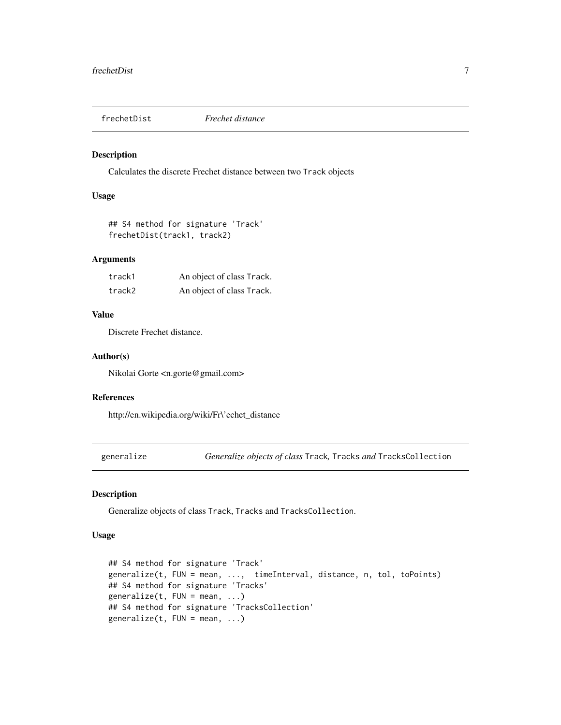<span id="page-6-1"></span><span id="page-6-0"></span>

#### Description

Calculates the discrete Frechet distance between two Track objects

#### Usage

## S4 method for signature 'Track' frechetDist(track1, track2)

#### Arguments

| track1 | An object of class Track. |
|--------|---------------------------|
| track2 | An object of class Track. |

#### Value

Discrete Frechet distance.

#### Author(s)

Nikolai Gorte <n.gorte@gmail.com>

#### References

http://en.wikipedia.org/wiki/Fr\'echet\_distance

generalize *Generalize objects of class* Track*,* Tracks *and* TracksCollection

### Description

Generalize objects of class Track, Tracks and TracksCollection.

#### Usage

```
## S4 method for signature 'Track'
generalize(t, FUN = mean, ..., timeInterval, distance, n, tol, toPoints)
## S4 method for signature 'Tracks'
generalize(t, FUN = mean, ...)
## S4 method for signature 'TracksCollection'
generalize(t, FUN = mean, ...)
```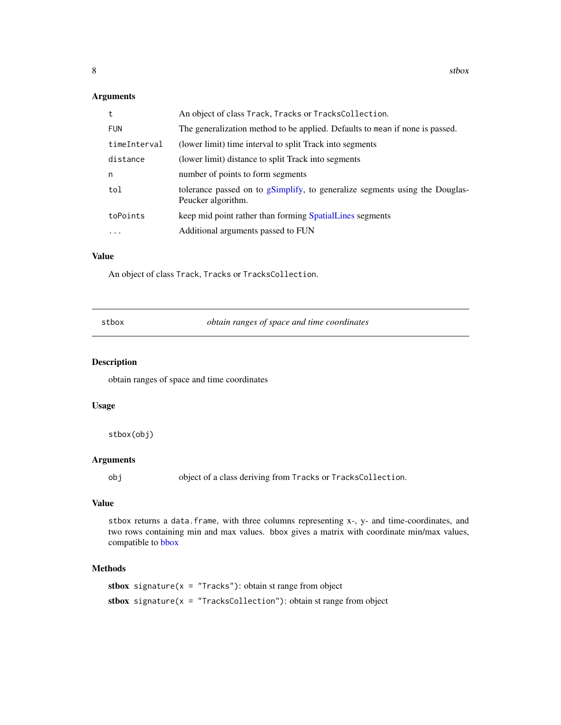#### <span id="page-7-0"></span>Arguments

| t            | An object of class Track, Tracks or TracksCollection.                                             |
|--------------|---------------------------------------------------------------------------------------------------|
| <b>FUN</b>   | The generalization method to be applied. Defaults to mean if none is passed.                      |
| timeInterval | (lower limit) time interval to split Track into segments                                          |
| distance     | (lower limit) distance to split Track into segments                                               |
| n            | number of points to form segments                                                                 |
| tol          | tolerance passed on to gSimplify, to generalize segments using the Douglas-<br>Peucker algorithm. |
| toPoints     | keep mid point rather than forming SpatialLines segments                                          |
| $\ddots$     | Additional arguments passed to FUN                                                                |

#### Value

An object of class Track, Tracks or TracksCollection.

|  | stbox |
|--|-------|
|  |       |

 $obtain$  ranges of space and time coordinates

#### Description

obtain ranges of space and time coordinates

#### Usage

stbox(obj)

#### Arguments

obj object of a class deriving from Tracks or TracksCollection.

#### Value

stbox returns a data.frame, with three columns representing x-, y- and time-coordinates, and two rows containing min and max values. bbox gives a matrix with coordinate min/max values, compatible to [bbox](#page-0-0)

#### Methods

stbox signature( $x = "Tracks"$ ): obtain st range from object stbox signature( $x = "TracksCollection")$ : obtain st range from object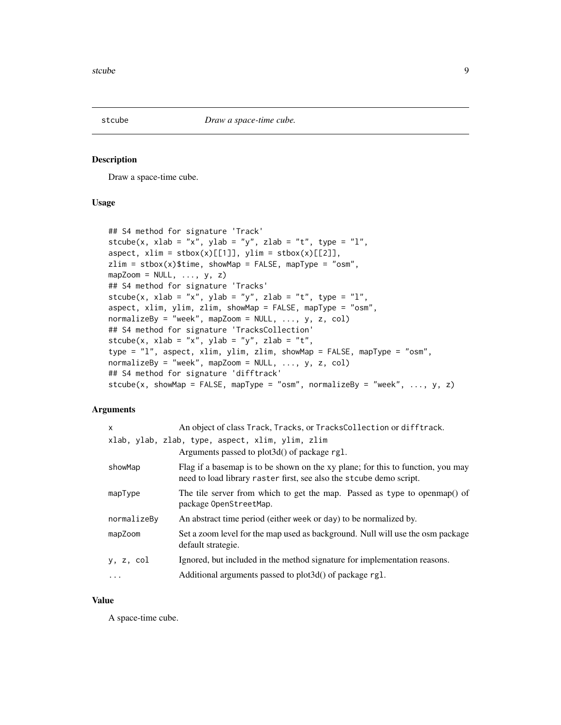<span id="page-8-0"></span>

#### Description

Draw a space-time cube.

#### Usage

```
## S4 method for signature 'Track'
stcube(x, xlab = "x", ylab = "y", zlab = "t", type = "l",
aspect, xlim = stbox(x)[[1]], ylim = stbox(x)[[2]],
zlim = stbox(x)$time, showMap = FALSE, mapType = "osm",
mapZoom = NULL, ..., y, z)## S4 method for signature 'Tracks'
stcube(x, xlab = "x", ylab = "y", zlab = "t", type = "l",
aspect, xlim, ylim, zlim, showMap = FALSE, mapType = "osm",
normalizeBy = "week", mapZoom = NULL, ..., y, z, col)## S4 method for signature 'TracksCollection'
stcube(x, xlab = "x", ylab = "y", zlab = "t",
type = "l", aspect, xlim, ylim, zlim, showMap = FALSE, mapType = "osm",
normalizeBy = "week", mapZoom = NULL, ..., y, z, col)## S4 method for signature 'difftrack'
stcube(x, showMap = FALSE, mapType = "osm", normalizeBy = "week", \dots, y, z)
```
#### Arguments

| X           | An object of class Track, Tracks, or TracksCollection or difftrack.                                                                                     |
|-------------|---------------------------------------------------------------------------------------------------------------------------------------------------------|
|             | xlab, ylab, zlab, type, aspect, xlim, ylim, zlim<br>Arguments passed to plot 3d() of package rg1.                                                       |
| showMap     | Flag if a basemap is to be shown on the xy plane; for this to function, you may<br>need to load library raster first, see also the st cube demo script. |
| mapType     | The tile server from which to get the map. Passed as type to open map() of<br>package OpenStreetMap.                                                    |
| normalizeBy | An abstract time period (either week or day) to be normalized by.                                                                                       |
| mapZoom     | Set a zoom level for the map used as background. Null will use the osm package<br>default strategie.                                                    |
| y, z, col   | Ignored, but included in the method signature for implementation reasons.                                                                               |
|             | Additional arguments passed to plot3d() of package rg1.                                                                                                 |

#### Value

A space-time cube.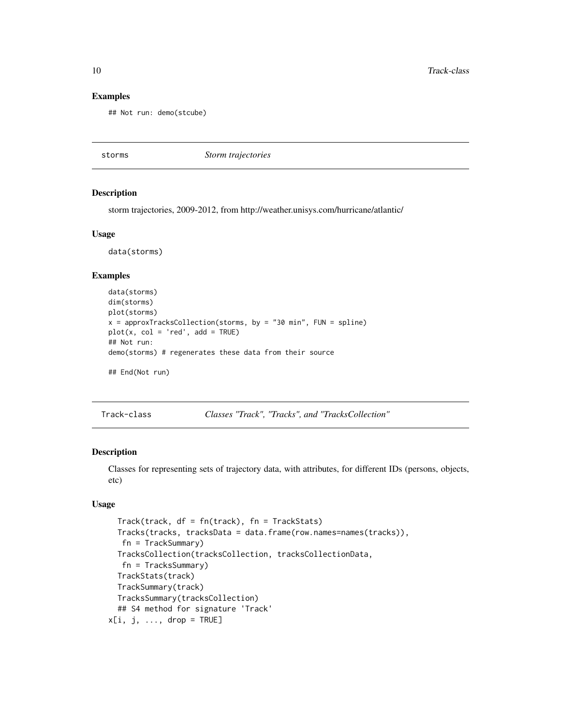#### Examples

```
## Not run: demo(stcube)
```
storms *Storm trajectories*

#### **Description**

storm trajectories, 2009-2012, from http://weather.unisys.com/hurricane/atlantic/

#### Usage

data(storms)

#### Examples

```
data(storms)
dim(storms)
plot(storms)
x = approxTracksCollection(storms, by = "30 min", FUN = spline)
plot(x, col = 'red', add = TRUE)## Not run:
demo(storms) # regenerates these data from their source
## End(Not run)
```
Track-class *Classes "Track", "Tracks", and "TracksCollection"*

#### <span id="page-9-1"></span>Description

Classes for representing sets of trajectory data, with attributes, for different IDs (persons, objects, etc)

#### Usage

```
Track(track, df = fn(track), fn = TrackStats)
 Tracks(tracks, tracksData = data.frame(row.names=names(tracks)),
   fn = TrackSummary)
  TracksCollection(tracksCollection, tracksCollectionData,
   fn = TracksSummary)
 TrackStats(track)
 TrackSummary(track)
 TracksSummary(tracksCollection)
  ## S4 method for signature 'Track'
x[i, j, ..., drop = TRUE]
```
<span id="page-9-0"></span>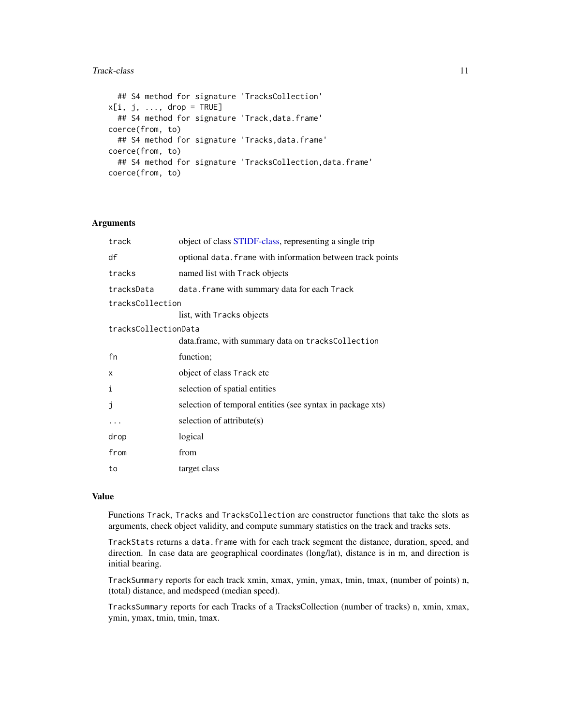#### <span id="page-10-0"></span>Track-class 11

```
## S4 method for signature 'TracksCollection'
x[i, j, \ldots, drop = TRUE]## S4 method for signature 'Track, data.frame'
coerce(from, to)
  ## S4 method for signature 'Tracks,data.frame'
coerce(from, to)
  ## S4 method for signature 'TracksCollection, data.frame'
coerce(from, to)
```
#### Arguments

| track                | object of class STIDF-class, representing a single trip    |
|----------------------|------------------------------------------------------------|
| df                   | optional data. frame with information between track points |
| tracks               | named list with Track objects                              |
| tracksData           | data. frame with summary data for each Track               |
| tracksCollection     |                                                            |
|                      | list, with Tracks objects                                  |
| tracksCollectionData |                                                            |
|                      | data.frame, with summary data on tracksCollection          |
| fn                   | function;                                                  |
| x                    | object of class Track etc                                  |
| i                    | selection of spatial entities                              |
| j                    | selection of temporal entities (see syntax in package xts) |
|                      | selection of attribute(s)                                  |
| drop                 | logical                                                    |
| from                 | from                                                       |
| to                   | target class                                               |

#### Value

Functions Track, Tracks and TracksCollection are constructor functions that take the slots as arguments, check object validity, and compute summary statistics on the track and tracks sets.

TrackStats returns a data.frame with for each track segment the distance, duration, speed, and direction. In case data are geographical coordinates (long/lat), distance is in m, and direction is initial bearing.

TrackSummary reports for each track xmin, xmax, ymin, ymax, tmin, tmax, (number of points) n, (total) distance, and medspeed (median speed).

TracksSummary reports for each Tracks of a TracksCollection (number of tracks) n, xmin, xmax, ymin, ymax, tmin, tmin, tmax.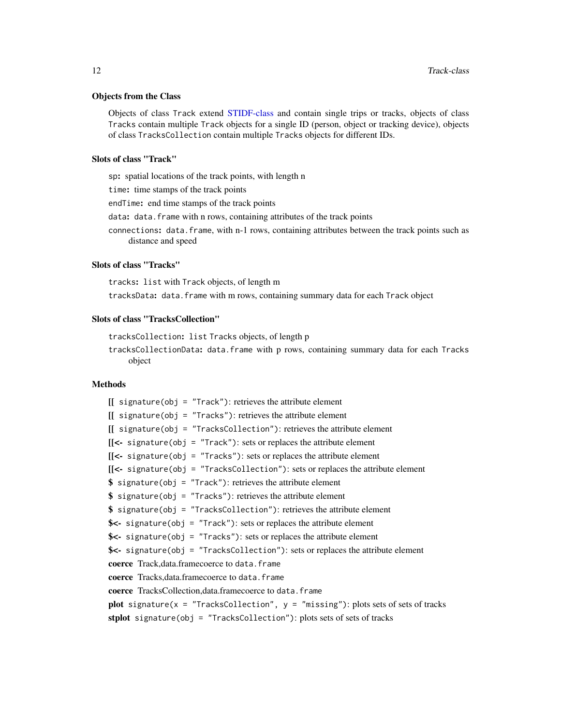#### <span id="page-11-0"></span>Objects from the Class

Objects of class Track extend [STIDF-class](#page-0-0) and contain single trips or tracks, objects of class Tracks contain multiple Track objects for a single ID (person, object or tracking device), objects of class TracksCollection contain multiple Tracks objects for different IDs.

#### Slots of class "Track"

sp: spatial locations of the track points, with length n

time: time stamps of the track points

endTime: end time stamps of the track points

data: data.frame with n rows, containing attributes of the track points

connections: data.frame, with n-1 rows, containing attributes between the track points such as distance and speed

#### Slots of class "Tracks"

tracks: list with Track objects, of length m

tracksData: data.frame with m rows, containing summary data for each Track object

#### Slots of class "TracksCollection"

tracksCollection: list Tracks objects, of length p tracksCollectionData: data.frame with p rows, containing summary data for each Tracks object

#### Methods

 $[[$  signature(obj = "Track"): retrieves the attribute element  $[[$  signature(obj = "Tracks"): retrieves the attribute element  $[[$  signature(obj = "TracksCollection"): retrieves the attribute element  $[$ [<- signature(obj = "Track"): sets or replaces the attribute element [[<- signature(obj = "Tracks"): sets or replaces the attribute element [[<- signature(obj = "TracksCollection"): sets or replaces the attribute element  $$ signalure(obj = "Track"): retrieves the attribute element$  $$ signalure(obj = "Tracks")$ : retrieves the attribute element  $$ signalure(obj = "TracksCollection"): retrieves the attribute element$ \$<- signature(obj = "Track"): sets or replaces the attribute element  $\text{S}\leftarrow$  signature(obj = "Tracks"): sets or replaces the attribute element \$<- signature(obj = "TracksCollection"): sets or replaces the attribute element coerce Track,data.framecoerce to data.frame coerce Tracks, data.framecoerce to data.frame coerce TracksCollection,data.framecoerce to data.frame plot signature( $x = "TrackSolution", y = "missing"$ ): plots sets of sets of tracks stplot signature(obj = "TracksCollection"): plots sets of sets of tracks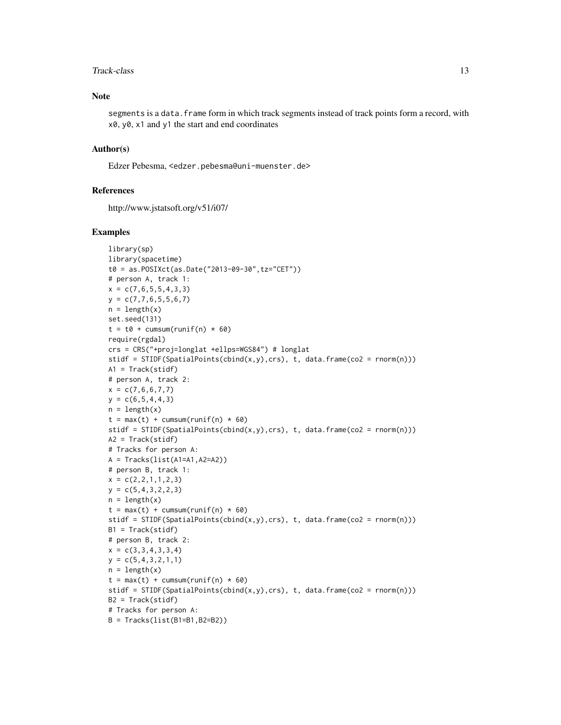#### Track-class 13

#### Note

segments is a data. frame form in which track segments instead of track points form a record, with x0, y0, x1 and y1 the start and end coordinates

#### Author(s)

Edzer Pebesma, <edzer.pebesma@uni-muenster.de>

#### References

http://www.jstatsoft.org/v51/i07/

#### Examples

```
library(sp)
library(spacetime)
t0 = as.POSIXct(as.Date("2013-09-30",tz="CET"))
# person A, track 1:
x = c(7, 6, 5, 5, 4, 3, 3)y = c(7, 7, 6, 5, 5, 6, 7)n = length(x)set.seed(131)
t = t0 + \text{cumsum}(\text{runif(n)} * 60)require(rgdal)
crs = CRS("+proj=longlat +ellps=WGS84") # longlat
stidf = STIDF(SpatialPoints(cbind(x,y),crs), t, data.frame(co2 = rnorm(n)))
A1 = \text{Track}(\text{stidf})# person A, track 2:
x = c(7, 6, 6, 7, 7)y = c(6, 5, 4, 4, 3)n = length(x)t = max(t) + cumsum(runif(n) * 60)stidf = STIDF(SpatialPoints(cbind(x,y),crs), t, data.frame(co2 = rnorm(n)))
A2 = \text{Track}(\text{stidf})# Tracks for person A:
A = Tracks(list(A1=A1,A2=A2))
# person B, track 1:
x = c(2, 2, 1, 1, 2, 3)y = c(5, 4, 3, 2, 2, 3)n = length(x)t = max(t) + cumsum(runif(n) * 60)stidf = STIDF(SpatialPoints(cbind(x,y),crs), t, data.frame(co2 = rnorm(n)))
B1 = \text{Track}(\text{stidf})# person B, track 2:
x = c(3,3,4,3,3,4)y = c(5, 4, 3, 2, 1, 1)n = length(x)t = max(t) + cumsum(runif(n) * 60)stidf = STIDF(SpatialPoints(cbind(x,y),crs), t, data.frame(co2 = rnorm(n)))
B2 = Track(stidf)
# Tracks for person A:
B = Tracks(list(B1=B1,B2=B2))
```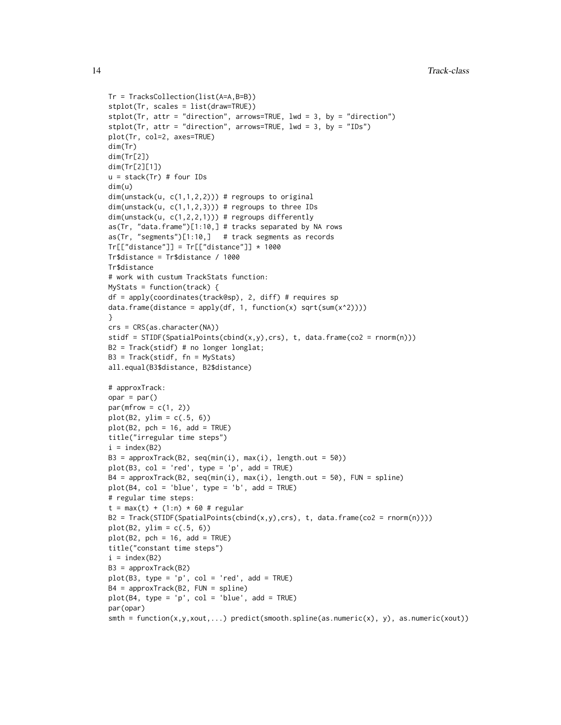```
Tr = TracksCollection(list(A=A,B=B))
stplot(Tr, scales = list(draw=TRUE))
stplot(Tr, attr = "direction", arrows=TRUE, lwd = 3, by = "direction")
stplot(Tr, attr = "direction", arrows=TRUE, 1wd = 3, by = "IDs")
plot(Tr, col=2, axes=TRUE)
dim(Tr)
dim(Tr[2])
dim(Tr[2][1])
u = stack(Tr) # four IDs
dim(u)
dim(unstack(u, c(1,1,2,2))) # regroups to original
dim(unstack(u, c(1,1,2,3))) # regroups to three IDs
dim(unstack(u, c(1, 2, 2, 1))) # regroups differently
as(Tr, "data.frame")[1:10,] # tracks separated by NA rows
as(Tr, "segments")[1:10,] # track segments as records
Tr[["distance"] = Tr[["distance"]] * 1000Tr$distance = Tr$distance / 1000
Tr$distance
# work with custum TrackStats function:
MyStats = function(track) {
df = apply(coordinates(track@sp), 2, diff) # requires sp
data.frame(distance = apply(df, 1, function(x) sqrt(sum(x^2))))
}
crs = CRS(as.character(NA))
stidf = STIDF(SpatialPoints(cbind(x,y),crs), t, data.frame(co2 = rnorm(n)))
B2 = Track(stidf) # no longer longlat;
B3 = Track(stidf, fn = MyStats)
all.equal(B3$distance, B2$distance)
# approxTrack:
opar = par()par(mfrow = c(1, 2))plot(B2, ylim = c(.5, 6))plot(B2, pch = 16, add = TRUE)title("irregular time steps")
i = index(B2)B3 = approxTrack(B2, seq(min(i), max(i), length.out = 50))
plot(B3, col = 'red', type = 'p', add = TRUE)B4 = approxTrack(B2, seq(min(i), max(i), length.out = 50), FUN = spline)
plot(B4, col = 'blue', type = 'b', add = TRUE)# regular time steps:
t = max(t) + (1:n) * 60 # regular
B2 = \text{Track}(\text{STIDF}(\text{SpatialPoints}(\text{cbind}(x,y),\text{crs}), t, data, \text{frame}(\text{co2} = \text{rnorm}(n))))plot(B2, ylim = c(.5, 6))plot(B2, pch = 16, add = TRUE)title("constant time steps")
i = index(B2)B3 = approxTrack(B2)
plot(B3, type = 'p', col = 'red', add = TRUE)B4 = approxTrack(B2, FUN = spline)
plot(B4, type = 'p', col = 'blue', add = TRUE)par(opar)
smth = function(x,y,xout,...) predict(smooth.spline(as.numeric(x), y), as.numeric(xout))
```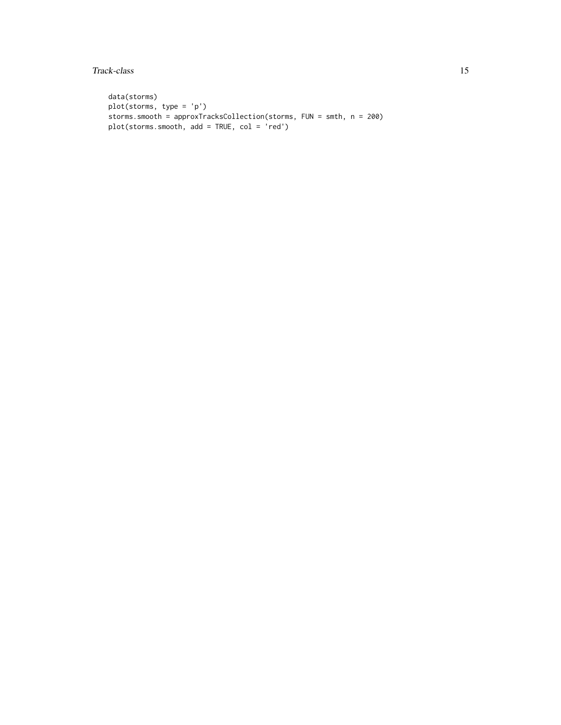Track-class 15

```
data(storms)
plot(storms, type = 'p')
storms.smooth = approxTracksCollection(storms, FUN = smth, n = 200)
plot(storms.smooth, add = TRUE, col = 'red')
```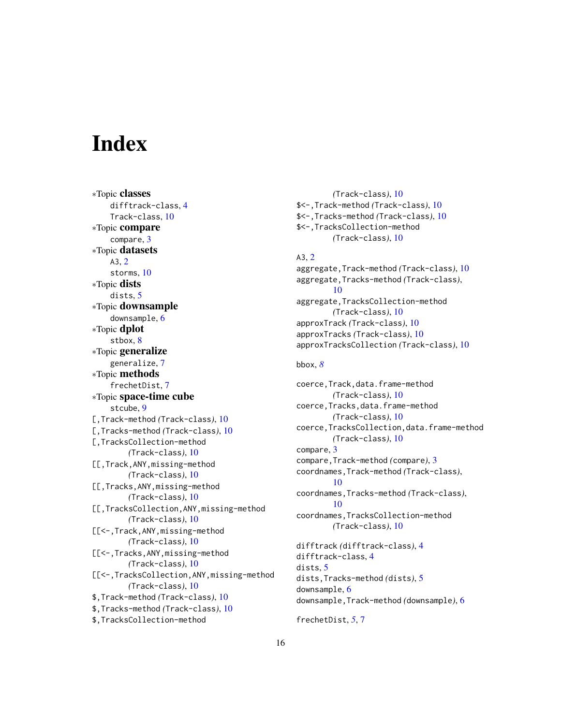# <span id="page-15-0"></span>**Index**

∗Topic classes difftrack-class, [4](#page-3-0) Track-class, [10](#page-9-0) ∗Topic compare compare, [3](#page-2-0) ∗Topic datasets A3, [2](#page-1-0) storms, [10](#page-9-0) ∗Topic dists dists, [5](#page-4-0) ∗Topic downsample downsample, [6](#page-5-0) ∗Topic dplot stbox, [8](#page-7-0) ∗Topic generalize generalize, [7](#page-6-0) ∗Topic methods frechetDist, [7](#page-6-0) ∗Topic space-time cube stcube, [9](#page-8-0) [,Track-method *(*Track-class*)*, [10](#page-9-0) [,Tracks-method *(*Track-class*)*, [10](#page-9-0) [,TracksCollection-method *(*Track-class*)*, [10](#page-9-0) [[,Track,ANY,missing-method *(*Track-class*)*, [10](#page-9-0) [[,Tracks,ANY,missing-method *(*Track-class*)*, [10](#page-9-0) [[,TracksCollection,ANY,missing-method *(*Track-class*)*, [10](#page-9-0) [[<-,Track,ANY,missing-method *(*Track-class*)*, [10](#page-9-0) [[<-,Tracks,ANY,missing-method *(*Track-class*)*, [10](#page-9-0) [[<-,TracksCollection,ANY,missing-method *(*Track-class*)*, [10](#page-9-0) \$,Track-method *(*Track-class*)*, [10](#page-9-0) \$,Tracks-method *(*Track-class*)*, [10](#page-9-0) \$,TracksCollection-method

*(*Track-class*)*, [10](#page-9-0) \$<-,Track-method *(*Track-class*)*, [10](#page-9-0) \$<-,Tracks-method *(*Track-class*)*, [10](#page-9-0) \$<-,TracksCollection-method *(*Track-class*)*, [10](#page-9-0) A3, [2](#page-1-0) aggregate,Track-method *(*Track-class*)*, [10](#page-9-0) aggregate,Tracks-method *(*Track-class*)*, [10](#page-9-0) aggregate,TracksCollection-method *(*Track-class*)*, [10](#page-9-0) approxTrack *(*Track-class*)*, [10](#page-9-0) approxTracks *(*Track-class*)*, [10](#page-9-0) approxTracksCollection *(*Track-class*)*, [10](#page-9-0) bbox, *[8](#page-7-0)* coerce,Track,data.frame-method *(*Track-class*)*, [10](#page-9-0) coerce,Tracks,data.frame-method *(*Track-class*)*, [10](#page-9-0) coerce,TracksCollection,data.frame-method *(*Track-class*)*, [10](#page-9-0) compare, [3](#page-2-0) compare,Track-method *(*compare*)*, [3](#page-2-0) coordnames,Track-method *(*Track-class*)*, [10](#page-9-0) coordnames,Tracks-method *(*Track-class*)*, [10](#page-9-0) coordnames,TracksCollection-method *(*Track-class*)*, [10](#page-9-0) difftrack *(*difftrack-class*)*, [4](#page-3-0) difftrack-class, [4](#page-3-0) dists, [5](#page-4-0) dists,Tracks-method *(*dists*)*, [5](#page-4-0) downsample, [6](#page-5-0) downsample,Track-method *(*downsample*)*, [6](#page-5-0)

frechetDist, *[5](#page-4-0)*, [7](#page-6-0)